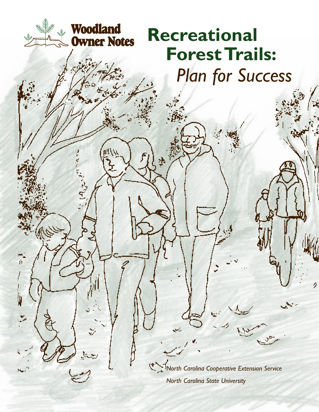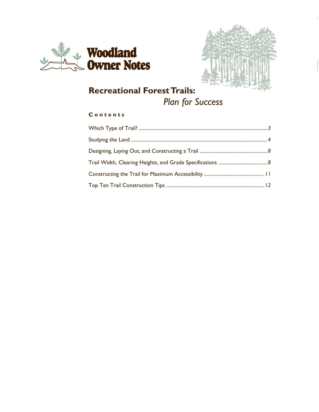



# **Recreational Forest Trails:**

# *Plan for Success*

## **C o n t e n t s**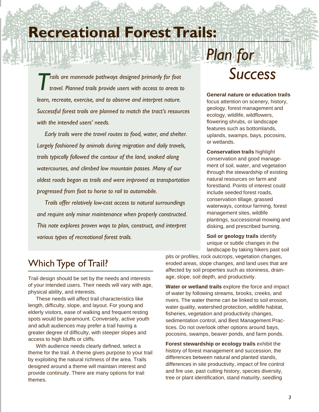# **Recreational Forest Trails:**

*Trails are manmade pathways designed primarily for foot travel. Planned trails provide users with access to areas to learn, recreate, exercise, and to observe and interpret nature. Successful forest trails are planned to match the tract's resources with the intended users' needs.*

*Early trails were the travel routes to food, water, and shelter. Largely fashioned by animals during migration and daily travels, trails typically followed the contour of the land, snaked along watercourses, and climbed low mountain passes. Many of our oldest roads began as trails and were improved as transportation progressed from foot to horse to rail to automobile.*

*Trails offer relatively low-cost access to natural surroundings and require only minor maintenance when properly constructed. This note explores proven ways to plan, construct, and interpret various types of recreational forest trails.*

# *Success*

*Plan for*

**General nature or education trails**

focus attention on scenery, history, geology, forest management and ecology, wildlife, wildflowers, flowering shrubs, or landscape features such as bottomlands, uplands, swamps, bays, pocosins, or wetlands.

**Conservation trails** highlight conservation and good management of soil, water, and vegetation through the stewardship of existing natural resources on farm and forestland. Points of interest could include seeded forest roads, conservation tillage, grassed waterways, contour farming, forest management sites, wildlife plantings, successional mowing and disking, and prescribed burning.

**Soil or geology trails** identify unique or subtle changes in the landscape by taking hikers past soil

# Which Type of Trail?

Trail design should be set by the needs and interests of your intended users. Their needs will vary with age, physical ability, and interests.

These needs will affect trail characteristics like length, difficulty, slope, and layout. For young and elderly visitors, ease of walking and frequent resting spots would be paramount. Conversely, active youth and adult audiences may prefer a trail having a greater degree of difficulty, with steeper slopes and access to high bluffs or cliffs.

With audience needs clearly defined, select a theme for the trail. A theme gives purpose to your trail by exploiting the natural richness of the area. Trails designed around a theme will maintain interest and provide continuity. There are many options for trail themes.

pits or profiles, rock outcrops, vegetation changes, eroded areas, slope changes, and land uses that are affected by soil properties such as stoniness, drainage, slope, soil depth, and productivity.

**Water or wetland trails** explore the force and impact of water by following streams, brooks, creeks, and rivers. The water theme can be linked to soil erosion, water quality, watershed protection, wildlife habitat, fisheries, vegetation and productivity changes, sedimentation control, and Best Management Practices. Do not overlook other options around bays, pocosins, swamps, beaver ponds, and farm ponds.

**Forest stewardship or ecology trails** exhibit the history of forest management and succession, the differences between natural and planted stands, differences in site productivity, impact of fire control and fire use, past cutting history, species diversity, tree or plant identification, stand maturity, seedling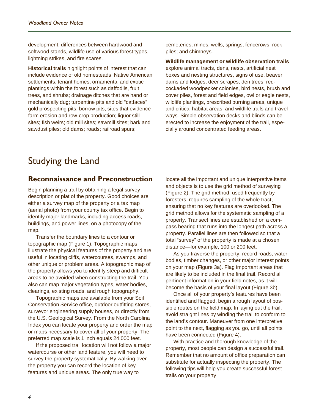development, differences between hardwood and softwood stands, wildlife use of various forest types, lightning strikes, and fire scares.

**Historical trails** highlight points of interest that can include evidence of old homesteads; Native American settlements; tenant homes; ornamental and exotic plantings within the forest such as daffodils, fruit trees, and shrubs; drainage ditches that are hand or mechanically dug; turpentine pits and old "catfaces"; gold prospecting pits; borrow pits; sites that evidence farm erosion and row-crop production; liquor still sites; fish weirs; old mill sites; sawmill sites; bark and sawdust piles; old dams; roads; railroad spurs;

cemeteries; mines; wells; springs; fencerows; rock piles; and chimneys.

**Wildlife management or wildlife observation trails** explore animal tracts, dens, nests, artificial nest boxes and nesting structures, signs of use, beaver dams and lodges, deer scrapes, den trees, redcockaded woodpecker colonies, bird nests, brush and cover piles, forest and field edges, owl or eagle nests, wildlife plantings, prescribed burning areas, unique and critical habitat areas, and wildlife trails and travel ways. Simple observation decks and blinds can be erected to increase the enjoyment of the trail, especially around concentrated feeding areas.

## Studying the Land

### **Reconnaissance and Preconstruction**

Begin planning a trail by obtaining a legal survey description or plat of the property. Good choices are either a survey map of the property or a tax map (aerial photo) from your county tax office. Begin to identify major landmarks, including access roads, buildings, and power lines, on a photocopy of the map.

Transfer the boundary lines to a contour or topographic map (Figure 1). Topographic maps illustrate the physical features of the property and are useful in locating cliffs, watercourses, swamps, and other unique or problem areas. A topographic map of the property allows you to identify steep and difficult areas to be avoided when constructing the trail. You also can map major vegetation types, water bodies, clearings, existing roads, and rough topography.

Topographic maps are available from your Soil Conservation Service office, outdoor outfitting stores, surveyor engineering supply houses, or directly from the U.S. Geological Survey. From the North Carolina Index you can locate your property and order the map or maps necessary to cover all of your property. The preferred map scale is 1 inch equals 24,000 feet.

If the proposed trail location will not follow a major watercourse or other land feature, you will need to survey the property systematically. By walking over the property you can record the location of key features and unique areas. The only true way to

locate all the important and unique interpretive items and objects is to use the grid method of surveying (Figure 2). The grid method, used frequently by foresters, requires sampling of the whole tract, ensuring that no key features are overlooked. The grid method allows for the systematic sampling of a property. Transect lines are established on a compass bearing that runs into the longest path across a property. Parallel lines are then followed so that a total "survey" of the property is made at a chosen distance—for example, 100 or 200 feet.

As you traverse the property, record roads, water bodies, timber changes, or other major interest points on your map (Figure 3a). Flag important areas that are likely to be included in the final trail. Record all pertinent information in your field notes, as it will become the basis of your final layout (Figure 3b).

Once all of your property's features have been identified and flagged, begin a rough layout of possible routes on the field map. In laying out the trail, avoid straight lines by winding the trail to conform to the land's contour. Maneuver from one interpretive point to the next, flagging as you go, until all points have been connected (Figure 4).

With practice and thorough knowledge of the property, most people can design a successful trail. Remember that no amount of office preparation can substitute for actually inspecting the property. The following tips will help you create successful forest trails on your property.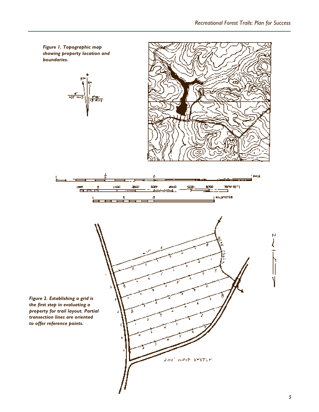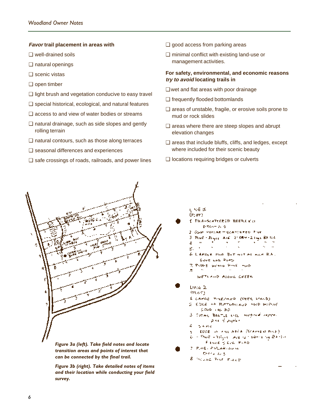#### **Favor trail placement in areas with**

- ❑ well-drained soils
- ❑ natural openings
- ❑ scenic vistas
- ❑ open timber
- ❑ light brush and vegetation conducive to easy travel
- ❑ special historical, ecological, and natural features
- ❑ access to and view of water bodies or streams
- ❑ natural drainage, such as side slopes and gently rolling terrain
- ❑ natural contours, such as those along terraces
- ❑ seasonal differences and experiences
- ❑ safe crossings of roads, railroads, and power lines
- ❑ good access from parking areas
- ❑ minimal conflict with existing land-use or management activities.

#### **For safety, environmental, and economic reasons try to avoid locating trails in**

- ❑ wet and flat areas with poor drainage
- ❑ frequently flooded bottomlands
- ❑ areas of unstable, fragile, or erosive soils prone to mud or rock slides
- ❑ areas where there are steep slopes and abrupt elevation changes
- ❑ areas that include bluffs, cliffs, and ledges, except where included for their scenic beauty

É PINA-SCATTEROP BEETLE K.A. D-TAKT A S

Gove and Ross 7. PUDES WANG PINE HOD

Good in as RD

7. P.ME - PALAR - NUM Detroit as \$ 8 MOUNE PINT FILED

2 GUM HOPLAR - SCATTEFED PINE

WETLAND ALONG CREEK

1 CARGE PINEZHWD (DEER STALD) 2. EDGE OF BUTTOM AUDI HOD WITHOUT

FINANC & LOW PLAD

3. Sotiwe BELTIE ENCL. Worghout Happy. pare di popier

EDGE OF FILE AREA (SCAMBER PLUE) - Phoen - 351, 131 Ave. 121 Denise top BA1121

Place - Bayer Ave., 21089-21451 BAILL è

LAPGER PINE BUT NOT AS ALLERA.

 $\mathbf{r}_\mathrm{c}$  $\sim$ 

❑ locations requiring bridges or culverts

ی چې ل  $(F; \sigma r)$ 

3.

4  $\mathbf{a}$ 

5.

k.

٠.

Line 2

(PLoT)

3 A Pre



*Figure 3a (left). Take field notes and locate transition areas and points of interest that can be connected by the final trail.*

*Figure 3b (right). Take detailed notes of items and their location while conducting your field survey.*

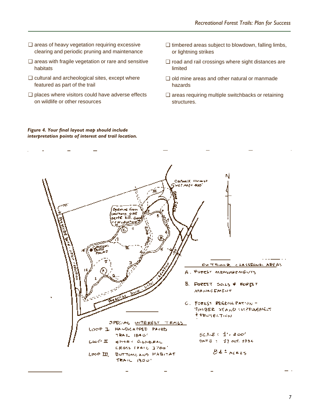- ❑ areas of heavy vegetation requiring excessive clearing and periodic pruning and maintenance
- ❑ areas with fragile vegetation or rare and sensitive habitats
- ❑ cultural and archeological sites, except where featured as part of the trail
- ❑ places where visitors could have adverse effects on wildlife or other resources
- ❑ timbered areas subject to blowdown, falling limbs, or lightning strikes
- ❑ road and rail crossings where sight distances are limited
- ❑ old mine areas and other natural or manmade hazards
- ❑ areas requiring multiple switchbacks or retaining structures.

#### *Figure 4. Your final layout map should include interpretation points of interest and trail location.*

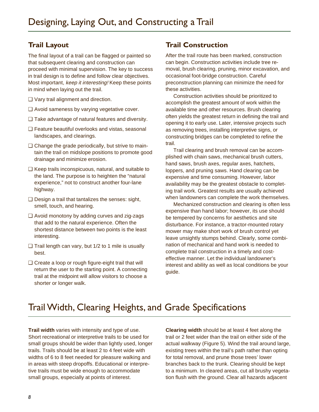## **Trail Layout**

The final layout of a trail can be flagged or painted so that subsequent clearing and construction can proceed with minimal supervision. The key to success in trail design is to define and follow clear objectives. Most important, keep it interesting! Keep these points in mind when laying out the trail.

- ❑ Vary trail alignment and direction.
- ❑ Avoid sameness by varying vegetative cover.
- ❑ Take advantage of natural features and diversity.
- ❑ Feature beautiful overlooks and vistas, seasonal landscapes, and clearings.
- □ Change the grade periodically, but strive to maintain the trail on midslope positions to promote good drainage and minimize erosion.
- ❑ Keep trails inconspicuous, natural, and suitable to the land. The purpose is to heighten the "natural experience," not to construct another four-lane highway.
- ❑ Design a trail that tantalizes the senses: sight, smell, touch, and hearing.
- ❑ Avoid monotony by adding curves and zig-zags that add to the natural experience. Often the shortest distance between two points is the least interesting.
- ❑ Trail length can vary, but 1/2 to 1 mile is usually best.
- ❑ Create a loop or rough figure-eight trail that will return the user to the starting point. A connecting trail at the midpoint will allow visitors to choose a shorter or longer walk.

## **Trail Construction**

After the trail route has been marked, construction can begin. Construction activities include tree removal, brush clearing, pruning, minor excavation, and occasional foot-bridge construction. Careful preconstruction planning can minimize the need for these activities.

Construction activities should be prioritized to accomplish the greatest amount of work within the available time and other resources. Brush clearing often yields the greatest return in defining the trail and opening it to early use. Later, intensive projects such as removing trees, installing interpretive signs, or constructing bridges can be completed to refine the trail.

Trail clearing and brush removal can be accomplished with chain saws, mechanical brush cutters, hand saws, brush axes, regular axes, hatchets, loppers, and pruning saws. Hand clearing can be expensive and time consuming. However, labor availability may be the greatest obstacle to completing trail work. Greatest results are usually achieved when landowners can complete the work themselves.

Mechanized construction and clearing is often less expensive than hand labor; however, its use should be tempered by concerns for aesthetics and site disturbance. For instance, a tractor-mounted rotary mower may make short work of brush control yet leave unsightly stumps behind. Clearly, some combination of mechanical and hand work is needed to complete trail construction in a timely and costeffective manner. Let the individual landowner's interest and ability as well as local conditions be your guide.

# Trail Width, Clearing Heights, and Grade Specifications

**Trail width** varies with intensity and type of use. Short recreational or interpretive trails to be used for small groups should be wider than lightly used, longer trails. Trails should be at least 2 to 4 feet wide with widths of 6 to 8 feet needed for pleasure walking and in areas with steep dropoffs. Educational or interpretive trails must be wide enough to accommodate small groups, especially at points of interest.

**Clearing width** should be at least 4 feet along the trail or 2 feet wider than the trail on either side of the actual walkway (Figure 5). Wind the trail around large, existing trees within the trail's path rather than opting for total removal, and prune those trees' lower branches back to the trunk. Clearing should be kept to a minimum. In cleared areas, cut all brushy vegetation flush with the ground. Clear all hazards adjacent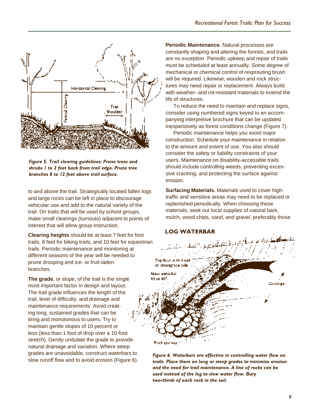

*Figure 5. Trail clearing guidelines: Prune trees and shrubs 1 to 2 feet back from trail edge. Prune tree branches 8 to 12 feet above trail surface.*

to and above the trail. Strategically located fallen logs and large rocks can be left in place to discourage vehicular use and add to the natural variety of the trail. On trails that will be used by school groups, make small clearings (turnouts) adjacent to points of interest that will allow group instruction.

**Clearing heights** should be at least 7 feet for foot trails, 8 feet for biking trails, and 10 feet for equestrian trails. Periodic maintenance and monitoring at different seasons of the year will be needed to prune drooping and ice- or fruit-laden branches.

**The grade**, or slope, of the trail is the single most important factor in design and layout. The trail grade influences the length of the trail, level of difficulty, and drainage and maintenance requirements. Avoid creating long, sustained grades that can be tiring and monotonous to users. Try to maintain gentle slopes of 10 percent or less (less than 1 foot of drop over a 10-foot stretch). Gently undulate the grade to provide natural drainage and variation. Where steep grades are unavoidable, construct waterbars to slow runoff flow and to avoid erosion (Figure 6). **Periodic Maintenance.** Natural processes are constantly shaping and altering the forests, and trails are no exception. Periodic upkeep and repair of trails must be scheduled at least annually. Some degree of mechanical or chemical control of resprouting brush will be required. Likewise, wooden and rock structures may need repair or replacement. Always build with weather- and rot-resistant materials to extend the life of structures.

To reduce the need to maintain and replace signs, consider using numbered signs keyed to an accompanying interpretive brochure that can be updated inexpensively as forest conditions change (Figure 7).

Periodic maintenance helps you avoid major construction. Schedule your maintenance in relation to the amount and extent of use. You also should consider the safety or liability constraints of your users. Maintenance on disability-accessible trails should include controlling weeds, preventing excessive cracking, and protecting the surface against erosion.

**Surfacing Materials.** Materials used to cover hightraffic and sensitive areas may need to be replaced or replenished periodically. When choosing these materials, seek out local supplies of natural bark, mulch, wood chips, sand, and gravel, preferably those



*Figure 6. Waterbars are effective in controlling water flow on trails. Place them on long or steep grades to minimize erosion and the need for trail maintenance. A line of rocks can be used instead of the log to slow water flow. Bury two-thirds of each rock in the soil.*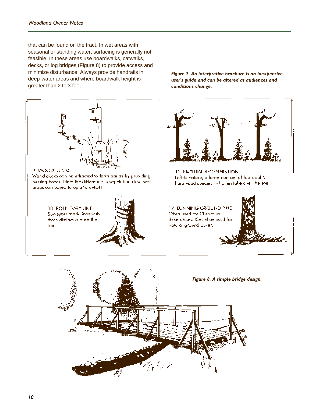that can be found on the tract. In wet areas with seasonal or standing water, surfacing is generally not feasible. In these areas use boardwalks, catwalks, decks, or log bridges (Figure 8) to provide access and minimize disturbance. Always provide handrails in deep-water areas and where boardwalk height is greater than 2 to 3 feet.

9 WOOD DUCKS 11. NATURAL REGENERATION. Wood ducks can be infracted to farm pands by providing. Teft to nature, a large number of low youl tynesting hoxes. Note the difference in vegetation (low, wethardwood species will alter take over the site. areas compared to opluna ureas). 17. RUNNING GROUND PINE 10. BOUNDARY LINE Chen used for Christmus Surveyors model ines with theod distinct cuts on the decorations. Could be used for natural ground cover. free.

*Figure 7. An interpretive brochure is an inexpensive user's guide and can be altered as audiences and*

*conditions change.*

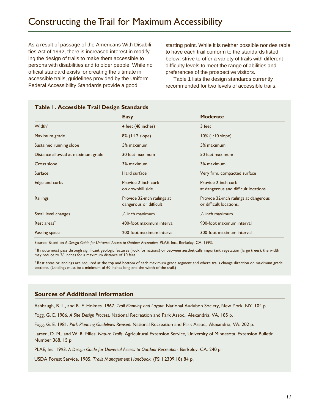As a result of passage of the Americans With Disabilities Act of 1992, there is increased interest in modifying the design of trails to make them accessible to persons with disabilities and to older people. While no official standard exists for creating the ultimate in accessible trails, guidelines provided by the Uniform Federal Accessibility Standards provide a good

starting point. While it is neither possible nor desirable to have each trail conform to the standards listed below, strive to offer a variety of trails with different difficulty levels to meet the range of abilities and preferences of the prospective visitors.

Table 1 lists the design standards currently recommended for two levels of accessible trails.

| 1.71999991718117411299591811      |                                                       |                                                                  |  |
|-----------------------------------|-------------------------------------------------------|------------------------------------------------------------------|--|
|                                   | <b>Easy</b>                                           | <b>Moderate</b>                                                  |  |
| Width'                            | 4 feet (48 inches)                                    | 3 feet                                                           |  |
| Maximum grade                     | $8\%$ (1:12 slope)                                    | $10\%$ (1:10 slope)                                              |  |
| Sustained running slope           | 5% maximum                                            | 5% maximum                                                       |  |
| Distance allowed at maximum grade | 30 feet maximum                                       | 50 feet maximum                                                  |  |
| Cross slope                       | 3% maximum                                            | 3% maximum                                                       |  |
| Surface                           | Hard surface                                          | Very firm, compacted surface                                     |  |
| Edge and curbs                    | Provide 2-inch curb<br>on downhill side.              | Provide 2-inch curb<br>at dangerous and difficult locations.     |  |
| Railings                          | Provide 32-inch railings at<br>dangerous or difficult | Provide 32-inch railings at dangerous<br>or difficult locations. |  |
| Small level changes               | $\frac{1}{2}$ inch maximum                            | $\frac{1}{2}$ inch maximum                                       |  |
| Rest areas <sup>2</sup>           | 400-foot maximum interval                             | 900-foot maximum interval                                        |  |
| Passing space                     | 200-foot maximum interval                             | 300-foot maximum interval                                        |  |

#### **Table 1. Accessible Trail Design Standards**

Source: Based on *A Design Guide for Universal Access to Outdoor Recreation*, PLAE, Inc., Berkeley, CA. 1993.

If route must pass through significant geologic features (rock formations) or between aesthetically important vegetation (large trees), the width may reduce to 36 inches for a maximum distance of 10 feet.

 $^{\rm 2}$  Rest areas or landings are required at the top and bottom of each maximum grade segment and where trails change direction on maximum grade sections*.* (Landings must be a minimum of 60 inches long and the width of the trail.)

#### **Sources of Additional Information**

Ashbaugh, B. L., and R. F. Holmes. 1967. *Trail Planning and Layout.* National Audubon Society, New York, NY. 104 p.

Fogg, G. E. 1986. *A Site Design Process.* National Recreation and Park Assoc., Alexandria, VA. 185 p.

Fogg, G. E. 1981. *Park Planning Guidelines Revised.* National Recreation and Park Assoc., Alexandria, VA. 202 p.

Larsen, D. M., and W. R. Miles. *Nature Trails.* Agricultural Extension Service, University of Minnesota. Extension Bulletin Number 368. 15 p.

PLAE, Inc. 1993. A Design Guide for Universal Access to Outdoor Recreation. Berkeley, CA. 240 p.

USDA Forest Service. 1985. *Trails Management Handbook.* (FSH 2309.18) 84 p.